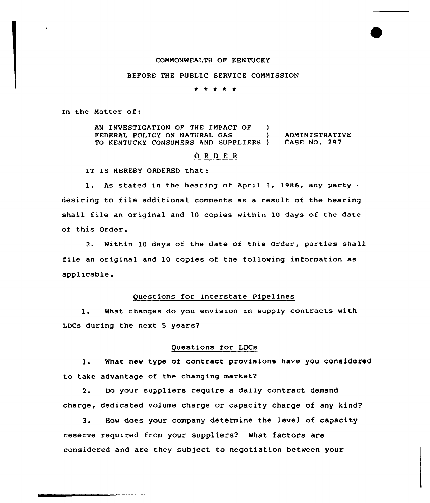## COMMONWEALTH OF KENTUCKY

### BEFORE THE PUBLIC SERVICE COMMISSION

. . . . .

In the Natter of:

AN INVESTIGATION OF THE IMPACT OF ) FEDERAL POLICY ON NATURAL GAS (a) ADMINISTRATIVE<br>TO KENTUCKY CONSUMERS AND SUPPLIERS ) CASE NO. 297 TO KENTUCKY CONSUMERS AND SUPPLIERS )

### ORDER

IT IS HEREBY ORDERED that:

1. As stated in the hearing of April 1, 1986, any party desiring to file additional comments as a result of the hearing shall file an original and 10 copies within 10 days of the date of this Order.

2. Within 10 days of the date of this Order, parties shall file an original and 10 copies of the following information as applicable.

### Questions for Interstate Pipelines

1. What changes do you envision in supply contracts with LDCs during the next 5 years?

### Questions for LDCs

1. What new type of contract provisions have you considered to take advantage of the changing market7

2. Do your suppliers require a daily contract demand charge, dedicated volume charge or capacity charge of any kind?

3. How does your company determine the level of capacity reserve required from your suppliers? What factors are considered and are they subject to negotiation between your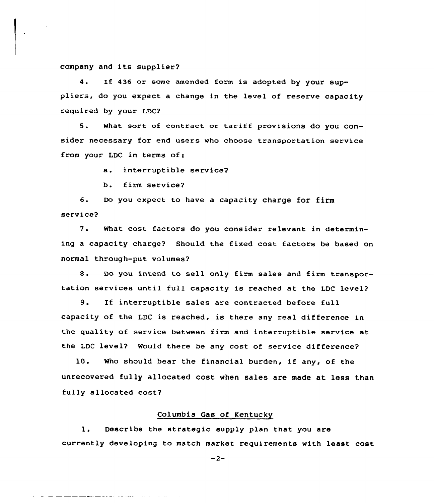### company and its supplier?

4. If 436 or some amended form is adopted by your suppliers, do you expect <sup>a</sup> change in the level of reserve capacity required by your LDC?

5. What sort of contract or tariff provisions do you consider necessary for end users who choose transportation service from your LDC in terms of:

a. interruptible service?

b. firm service?

والموارد والمتحدثين المالين المتمام للمستخلصة وسيفر

6. Do you expect to have a capacity charge for firm service?

7. What cost factors do you consider relevant in determining a capacity charge? Should the fixed cost factors be based on normal through-put volumes?

8. Do you intend to sell only firm sales and firm transportation services until full capacity is reached at the LDC level?

9. If interruptible sales are contracted before full capacity of the LDC is reached, is there any real difference in the quality of service between firm and interruptible service at the LDC level? Would there be any cost of service difference?

10. Who should bear the financial burden, if any, of the unrecovered fully allocated cost when sales are made at less than fully allocated cost?

#### Columbia Gas of Kentucky

1. Describe the strategic supply plan that you are currently developing to match market requirements with least cost

 $-2-$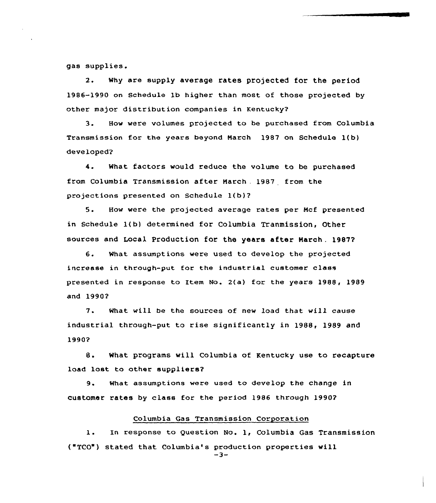gas supplies.

2. why are supply average rates projected for the period 1986-1990 on Schedule lb higher than most of those projected by other major distribution companies in Kentucky'?

3. How were volumes projected to be purchased from Columbia Transmission for the years beyond Narch 1987 on Schedule l(b) developed?

4. What factors would reduce the volume to be purchased from Columbia Transmission after Narch . 1987 from the projections presented on Schedule 1(b)2

5. How were the projected average rates per Ncf presented in Schedule 1( b) determined for Columbia Tranmission, Other sources and Local Production for the years after March. 1987?

6. What assumptions vere used to develop the projected increase in through-put for the industrial customer class presented in response to Item No. 2(a) for the years 1988, 1989 and 19902

7. What will be the sources of new load that vill cause industrial through-put to rise significantly in 1988, 1989 and 19902

8. What programs will Columbia of Kentucky use to recapture load lost to other suppliers?

9. What assumptions were used to develop the change in customer rates by class for the period 1986 through l990?

### Columbia Gas Transmission Corporation

1. In response to Question No. 1, Columbia Gas Transmission ("TCO") stated that Columbia's production properties will  $-3-$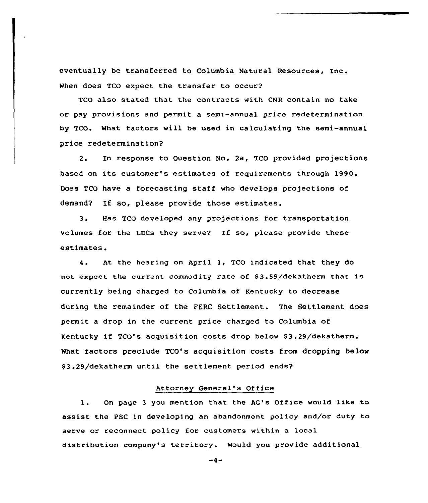eventually be transferred to Columbia Natural Resources, Inc. When does TCO expect the transfer to occur?

TCO also stated that the contracts with CNR contain no take or pay provisions and permit a semi-annual price redetermination by TCO. What factors will be used in calculating the semi-annual price redetermination?

2. In response to Question No. 2a, TCO provided projections based on its customer's estimates of requirements through 1990. Does TCO have a forecasting staff who develops projections of demand? If so, please provide those estimates.

3. Has TCO developed any projections for transportation volumes for the LDCs they serve7 If so, please provide these estimates.

4. At the hearing on April 1, TCO indicated that they do not expect the current commodity rate of \$3.59/dekatherm that is currently being charged to Columbia of Kentucky to decrease during the remainder of the FERC Settlement. The Settlement does permit a drop in the current price charged to Columbia of Kentucky if TCO's acquisition costs drop below \$3.29/dekatherm. What factors preclude TCO's acquisition costs from dropping below \$ 3.29/dekatherm until the settlement period ends?

# Attorney General's Of fice

1. On page 3 you mention that the AG's Office would like to assist the PSC in developing an abandonment policy and/or duty to serve or reconnect policy for customers within a local distribution company's territory. Would you provide additional

 $-4-$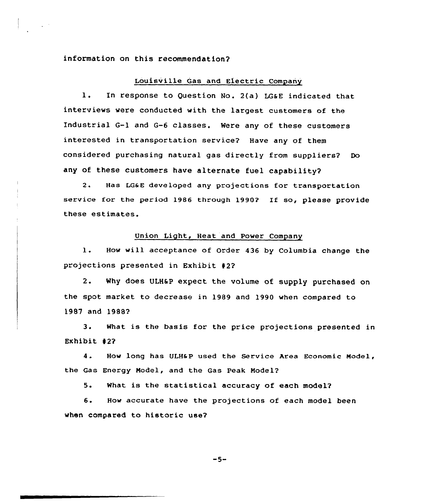### information on this recommendation?

### Louisville Gas and Electric Company

l. In response to Question No. 2(a) LGaE indicated that interviews were conducted with the largest customers of the Industrial G-1 and G-6 classes. Were any of these customers interested in transportation service? Have any of them considered purchasing natural gas directly from suppliers? Do any of these customers have alternate fuel capability?

2. Has LGaE developed any projections for transportation service for the period 1986 through 1990? If so, please provide these estimates.

### Union Light, Heat and Power Company

1. How will acceptance of Order <sup>436</sup> by Columbia change the projections presented in Exhibit 42?

2. Why does ULH6P expect the volume of supply purchased on the spot market to decrease in 1989 and 1990 when compared to 19S7 and 1988?

3. What is the basis for the price projections presented in Exhibit 42?

4. How long has ULH&P used the Service Area Economic Model, the Gas Energy Model, and the Gas Peak Model?

5. What is the statistical accuracy of each model?

6. How accurate have the projections of each model been when compared to historic use?

 $-5-$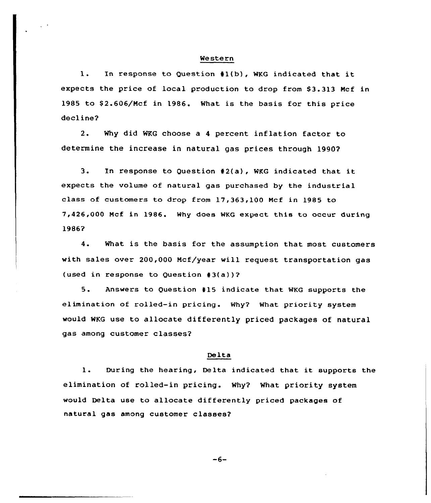#### Western

1. In response to Question 41(b), WKG indicated that it expects the price of local production to drop from 53.313 Ncf in 1985 to \$2.606/Mcf in 1986. What is the basis for this price decline?

2. Why did WKG choose a <sup>4</sup> percent inflation factor to determine the increase in natural gas prices through 1990?

3. In response to Question 42(a), WKG indicated that it expects the volume of natural gas purchased by the industrial class of customers to drop from 17,363,100 Ncf in 1985 to 7,426,000 Ncf in 1986. Why does WKG expect this to occur during 1986?

4. What is the basis for the assumption that most customers with sales over 200,000 Mcf/year will request transportation qas (used in response to Question 43(a))?

5. Answers to Question 415 indicate that WKG supports the elimination of rolled-in pricing. Why? What priority system would WKG use to allocate differently priced packages of natural gas among customer classes?

### Delta

1. During the hearing, Delta indicated that it supports the elimination of rolled-in pricing. Why? What priority system would Delta use to allocate differently priced packages of natural gas among customer classes?

 $-6-$